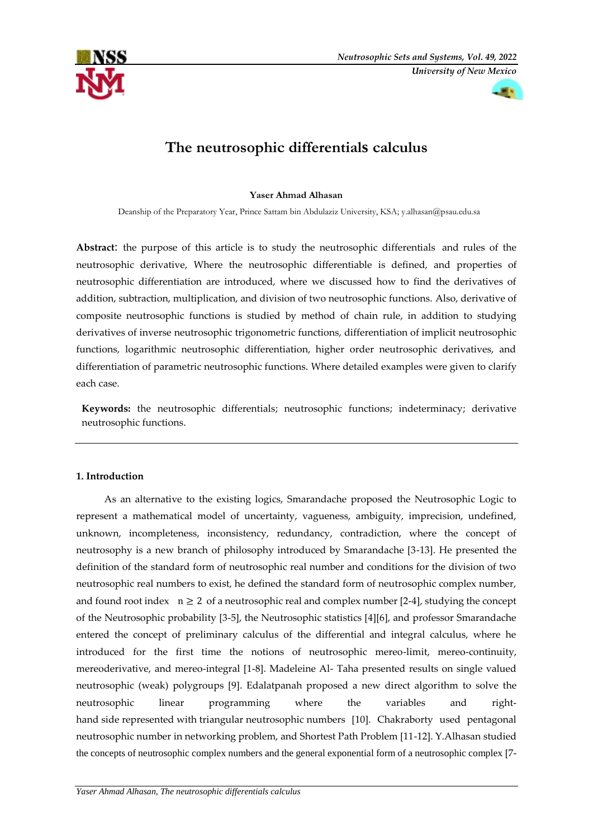



# **The neutrosophic differentials calculus**

### **Yaser Ahmad Alhasan**

Deanship of the Preparatory Year, Prince Sattam bin Abdulaziz University, KSA; [y.alhasan@psau.edu.sa](mailto:y.alhasan@psau.edu.sa)

**Abstract**: the purpose of this article is to study the neutrosophic differentials and rules of the neutrosophic derivative, Where the neutrosophic differentiable is defined, and properties of neutrosophic differentiation are introduced, where we discussed how to find the derivatives of addition, subtraction, multiplication, and division of two neutrosophic functions. Also, derivative of composite neutrosophic functions is studied by method of chain rule, in addition to studying derivatives of inverse neutrosophic trigonometric functions, differentiation of implicit neutrosophic functions, logarithmic neutrosophic differentiation, higher order neutrosophic derivatives, and differentiation of parametric neutrosophic functions. Where detailed examples were given to clarify each case.

**Keywords:** the neutrosophic differentials; neutrosophic functions; indeterminacy; derivative neutrosophic functions.

### **1. Introduction**

 As an alternative to the existing logics, Smarandache proposed the Neutrosophic Logic to represent a mathematical model of uncertainty, vagueness, ambiguity, imprecision, undefined, unknown, incompleteness, inconsistency, redundancy, contradiction, where the concept of neutrosophy is a new branch of philosophy introduced by Smarandache [3-13]. He presented the definition of the standard form of neutrosophic real number and conditions for the division of two neutrosophic real numbers to exist, he defined the standard form of neutrosophic complex number, and found root index  $n \geq 2$  of a neutrosophic real and complex number [2-4], studying the concept of the Neutrosophic probability [3-5], the Neutrosophic statistics [4][6], and professor Smarandache entered the concept of preliminary calculus of the differential and integral calculus, where he introduced for the first time the notions of neutrosophic mereo-limit, mereo-continuity, mereoderivative, and mereo-integral [1-8]. Madeleine Al- Taha presented results on single valued neutrosophic (weak) polygroups [9]. Edalatpanah proposed a new direct algorithm to solve the neutrosophic linear programming where the variables and righthand side represented with triangular neutrosophic numbers [10]. Chakraborty used pentagonal neutrosophic number in networking problem, and Shortest Path Problem [11-12]. Y.Alhasan studied the concepts of neutrosophic complex numbers and the general exponential form of a neutrosophic complex [7-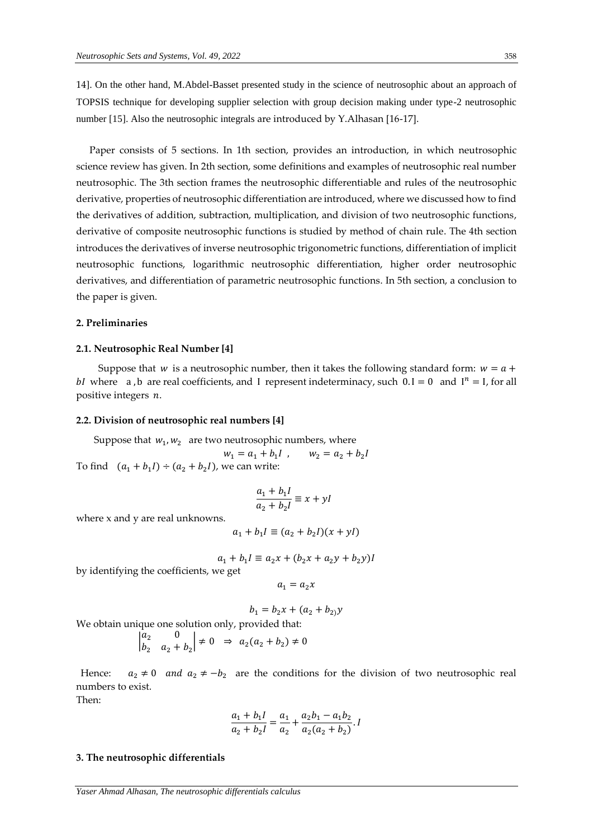14]. On the other hand, M.Abdel-Basset presented study in the science of neutrosophic about an approach of TOPSIS technique for developing supplier selection with group decision making under type-2 neutrosophic number [15]. Also the neutrosophic integrals are introduced by Y.Alhasan [16-17].

 Paper consists of 5 sections. In 1th section, provides an introduction, in which neutrosophic science review has given. In 2th section, some definitions and examples of neutrosophic real number neutrosophic. The 3th section frames the neutrosophic differentiable and rules of the neutrosophic derivative, properties of neutrosophic differentiation are introduced, where we discussed how to find the derivatives of addition, subtraction, multiplication, and division of two neutrosophic functions, derivative of composite neutrosophic functions is studied by method of chain rule. The 4th section introduces the derivatives of inverse neutrosophic trigonometric functions, differentiation of implicit neutrosophic functions, logarithmic neutrosophic differentiation, higher order neutrosophic derivatives, and differentiation of parametric neutrosophic functions. In 5th section, a conclusion to the paper is given.

### **2. Preliminaries**

#### **2.1. Neutrosophic Real Number [4]**

Suppose that w is a neutrosophic number, then it takes the following standard form:  $w = a +$ bI where a, b are real coefficients, and I represent indeterminacy, such  $0.1 = 0$  and  $I^n = I$ , for all positive integers  $n$ .

#### **2.2. Division of neutrosophic real numbers [4]**

Suppose that  $w_1, w_2$  are two neutrosophic numbers, where

 $w_1 = a_1 + b_1 I$ , *l*,  $w_2 = a_2 + b_2 I$ To find  $(a_1 + b_1) \div (a_2 + b_2)$ , we can write:

$$
\frac{a_1 + b_1 I}{a_2 + b_2 I} \equiv x + yI
$$

where x and y are real unknowns.

$$
a_1 + b_1 I \equiv (a_2 + b_2 I)(x + yI)
$$

$$
a_1 + b_1 I \equiv a_2 x + (b_2 x + a_2 y + b_2 y)I
$$

by identifying the coefficients, we get

 $a_1 = a_2 x$ 

$$
b_1 = b_2 x + (a_2 + b_2) y
$$

We obtain unique one solution only, provided that:

$$
\begin{vmatrix} a_2 & 0 \\ b_2 & a_2 + b_2 \end{vmatrix} \neq 0 \Rightarrow a_2(a_2 + b_2) \neq 0
$$

Hence:  $a_2 \neq 0$  and  $a_2 \neq -b_2$  are the conditions for the division of two neutrosophic real numbers to exist.

Then:

$$
\frac{a_1 + b_1 l}{a_2 + b_2 l} = \frac{a_1}{a_2} + \frac{a_2 b_1 - a_1 b_2}{a_2 (a_2 + b_2)}.
$$

#### **3. The neutrosophic differentials**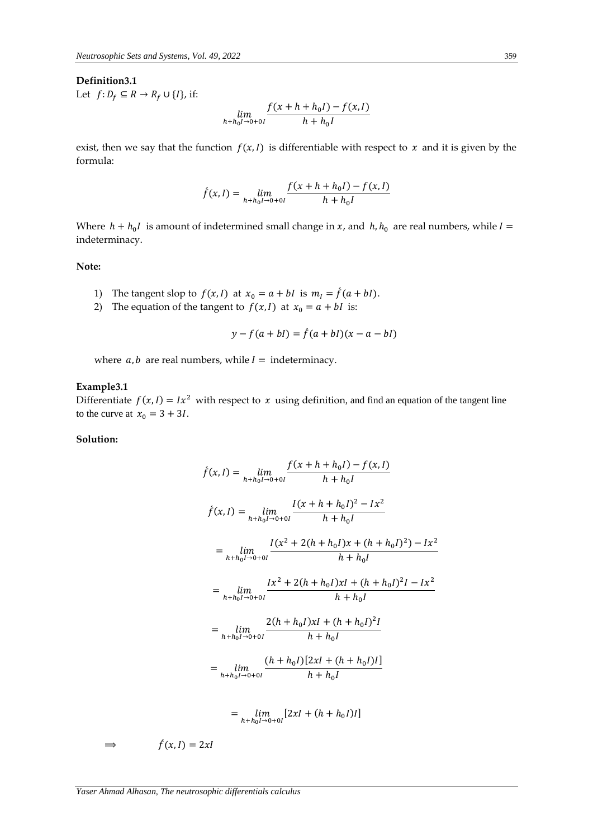#### **Definition3.1**

Let  $f: D_f \subseteq R \rightarrow R_f \cup \{I\}$ , if:

$$
\lim_{h+h_0l\to 0+0l}\frac{f(x+h+h_0I)-f(x,I)}{h+h_0l}
$$

exist, then we say that the function  $f(x, I)$  is differentiable with respect to  $x$  and it is given by the formula:

$$
f(x, I) = \lim_{h+h_0 I \to 0+0I} \frac{f(x+h+h_0 I) - f(x, I)}{h+h_0 I}
$$

Where  $h + h_0 I$  is amount of indetermined small change in x, and  $h, h_0$  are real numbers, while  $I =$ indeterminacy.

### **Note:**

- 1) The tangent slop to  $f(x, I)$  at  $x_0 = a + bl$  is  $m_I = \hat{f}(a + bl)$ .
- 2) The equation of the tangent to  $f(x, I)$  at  $x_0 = a + bI$  is:

$$
y - f(a + bI) = \hat{f}(a + bI)(x - a - bI)
$$

where  $a, b$  are real numbers, while  $I =$  indeterminacy.

### **Example3.1**

Differentiate  $f(x, l) = Ix^2$  with respect to x using definition, and find an equation of the tangent line to the curve at  $x_0 = 3 + 3I$ .

#### **Solution:**

$$
f(x, I) = \lim_{h+h_0I \to 0+0I} \frac{f(x+h+h_0I) - f(x, I)}{h+h_0I}
$$
  
\n
$$
f(x, I) = \lim_{h+h_0I \to 0+0I} \frac{I(x+h+h_0I)^2 - Ix^2}{h+h_0I}
$$
  
\n
$$
= \lim_{h+h_0I \to 0+0I} \frac{I(x^2 + 2(h+h_0I)x + (h+h_0I)^2) - Ix^2}{h+h_0I}
$$
  
\n
$$
= \lim_{h+h_0I \to 0+0I} \frac{Ix^2 + 2(h+h_0I)xI + (h+h_0I)^2I - Ix^2}{h+h_0I}
$$
  
\n
$$
= \lim_{h+h_0I \to 0+0I} \frac{2(h+h_0I)xI + (h+h_0I)^2I}{h+h_0I}
$$
  
\n
$$
= \lim_{h+h_0I \to 0+0I} \frac{(h+h_0I)[2xI + (h+h_0I)I]}{h+h_0I}
$$
  
\n
$$
= \lim_{h+h_0I \to 0+0I} [2xI + (h+h_0I)I]
$$

$$
\Rightarrow
$$

 $\hat{f}(x,I) = 2xI$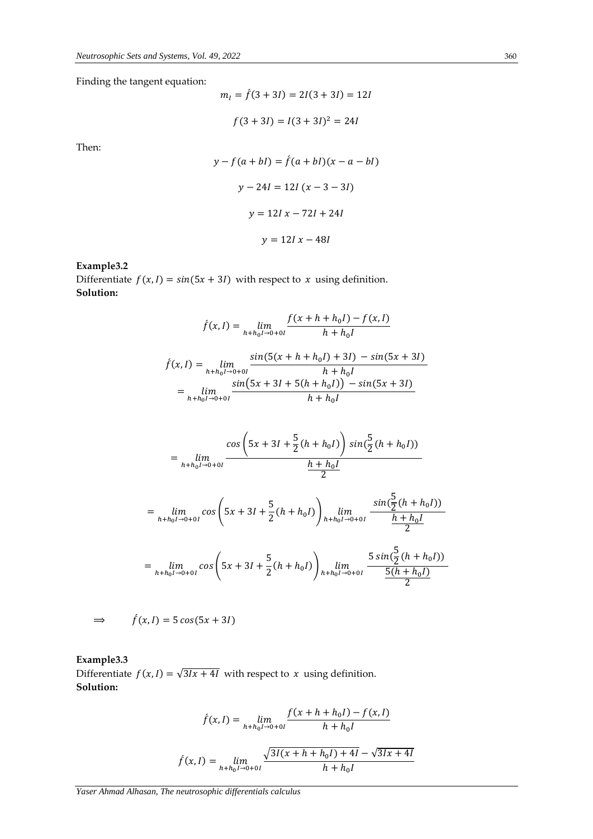Finding the tangent equation:

$$
mI = f(3 + 3I) = 2I(3 + 3I) = 12I
$$

$$
f(3 + 3I) = I(3 + 3I)2 = 24I
$$

Then:

$$
y - f(a + bl) = \hat{f}(a + bl)(x - a - bl)
$$
  

$$
y - 24l = 12l (x - 3 - 3l)
$$
  

$$
y = 12l x - 72l + 24l
$$
  

$$
y = 12l x - 48l
$$

**Example3.2**

Differentiate  $f(x, I) = sin(5x + 3I)$  with respect to  $x$  using definition. **Solution:**

$$
f(x, I) = \lim_{h+h_0I \to 0+0I} \frac{f(x+h+h_0I) - f(x, I)}{h+h_0I}
$$
  

$$
f(x, I) = \lim_{h+h_0I \to 0+0I} \frac{\sin(5(x+h+h_0I) + 3I) - \sin(5x + 3I)}{h+h_0I}
$$
  

$$
= \lim_{h+h_0I \to 0+0I} \frac{\sin(5x + 3I + 5(h+h_0I)) - \sin(5x + 3I)}{h+h_0I}
$$

$$
= \lim_{h+h_0I \to 0+0I} \frac{\cos\left(5x+3I+\frac{5}{2}(h+h_0I)\right)\sin\left(\frac{5}{2}(h+h_0I)\right)}{\frac{h+h_0I}{2}}
$$
  

$$
= \lim_{h+h_0I \to 0+0I} \cos\left(5x+3I+\frac{5}{2}(h+h_0I)\right) \lim_{h+h_0I \to 0+0I} \frac{\sin\left(\frac{5}{2}(h+h_0I)\right)}{\frac{h+h_0I}{2}}
$$
  

$$
= \lim_{h+h_0I \to 0+0I} \cos\left(5x+3I+\frac{5}{2}(h+h_0I)\right) \lim_{h+h_0I \to 0+0I} \frac{5\sin\left(\frac{5}{2}(h+h_0I)\right)}{\frac{5(h+h_0I)}{2}}
$$

$$
\Rightarrow \qquad f(x,l) = 5\cos(5x+3l)
$$

**Example3.3** Differentiate  $f(x, I) = \sqrt{3Ix + 4I}$  with respect to  $x$  using definition. **Solution:**

$$
\hat{f}(x, I) = \lim_{h+h_0 I \to 0+0I} \frac{f(x+h+h_0 I) - f(x, I)}{h+h_0 I}
$$

$$
\hat{f}(x, I) = \lim_{h+h_0 I \to 0+0I} \frac{\sqrt{3I(x+h+h_0 I) + 4I} - \sqrt{3Ix + 4I}}{h+h_0 I}
$$

*Yaser Ahmad Alhasan, The neutrosophic differentials calculus*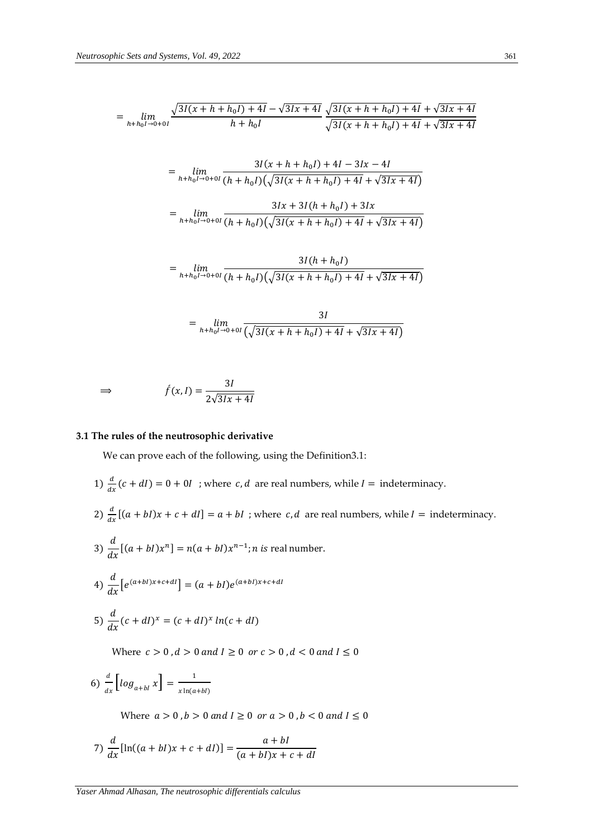$$
= \lim_{h+h_0l \to 0+0l} \frac{\sqrt{3l(x+h+h_0l)+4l} - \sqrt{3lx+4l}}{h+h_0l} \frac{\sqrt{3l(x+h+h_0l)+4l} + \sqrt{3lx+4l}}{\sqrt{3l(x+h+h_0l)+4l} + \sqrt{3lx+4l}}
$$

$$
= \lim_{h+h_0I \to 0+0I} \frac{3I(x+h+h_0I) + 4I - 3Ix - 4I}{(h+h_0I)(\sqrt{3I(x+h+h_0I) + 4I} + \sqrt{3Ix + 4I})}
$$

$$
= \lim_{h+h_0I \to 0+0I} \frac{3Ix + 3I(h+h_0I) + 3Ix}{(h+h_0I)(\sqrt{3I(x+h+h_0I) + 4I} + \sqrt{3Ix + 4I})}
$$

$$
= \lim_{h+h_0l \to 0+0l} \frac{3I(h+h_0l)}{(h+h_0l)(\sqrt{3I(x+h+h_0l)+4I}+\sqrt{3Ix+4I})}
$$

$$
= \lim_{h+h_0I \to 0+0I} \frac{3I}{\left(\sqrt{3I(x+h+h_0I)+4I} + \sqrt{3Ix+4I}\right)}
$$

$$
\Rightarrow \qquad f(x, I) = \frac{3I}{2\sqrt{3Ix + 4I}}
$$

### **3.1 The rules of the neutrosophic derivative**

We can prove each of the following, using the Definition3.1:

1) 
$$
\frac{d}{dx}(c+dl) = 0 + 0I
$$
; where *c*, *d* are real numbers, while *I* = indeterminacy.  
\n2)  $\frac{d}{dx}[(a + bl)x + c + dl] = a + bl$ ; where *c*, *d* are real numbers, while *I* = indeterminacy.  
\n3)  $\frac{d}{dx}[(a + bl)x^n] = n(a + bl)x^{n-1}$ ; *n* is real number.  
\n4)  $\frac{d}{dx}[e^{(a+bI)x+c+dl}] = (a + bl)e^{(a+bI)x+c+dl}$   
\n5)  $\frac{d}{dx}(c + dl)^x = (c + dl)^x ln(c + dl)$   
\nWhere *c* > 0, *d* > 0 and *I*  $\ge$  0 or *c* > 0, *d* < 0 and *I*  $\le$  0  
\n6)  $\frac{d}{dx}[log_{a+bI}x] = \frac{1}{x ln(a+bI)}$ 

Where  $a > 0$ ,  $b > 0$  and  $l \ge 0$  or  $a > 0$ ,  $b < 0$  and  $l \le 0$ 

7) 
$$
\frac{d}{dx}[\ln((a+bl)x+c+dl)] = \frac{a+bl}{(a+bl)x+c+dl}
$$

 $x \ln(a+b)$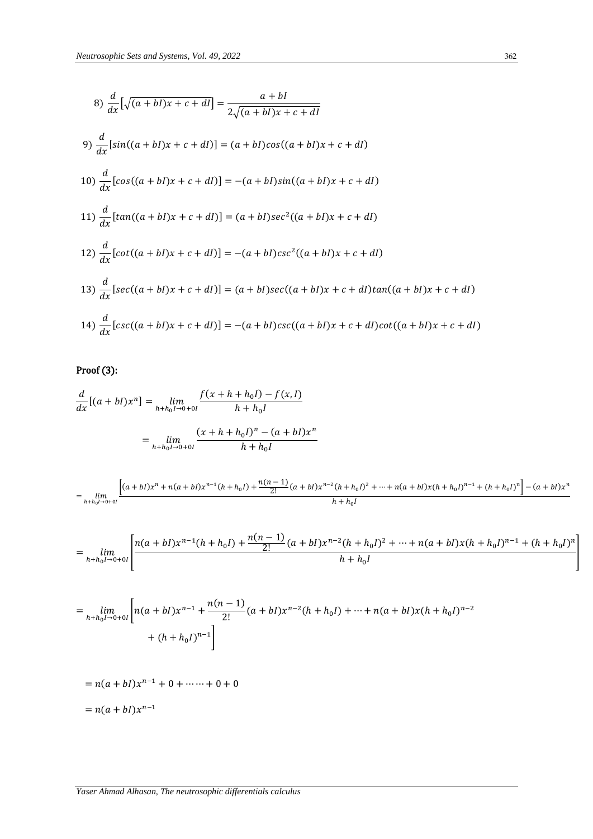8) 
$$
\frac{d}{dx}[\sqrt{(a+bl)x+c+dl}] = \frac{a+bl}{2\sqrt{(a+bl)x+c+dl}}
$$
  
9) 
$$
\frac{d}{dx}[sin((a+bl)x+c+dl)] = (a+bl)cos((a+bl)x+c+dl)
$$
  
10) 
$$
\frac{d}{dx}[cos((a+bl)x+c+dl)] = -(a+bl)sin((a+bl)x+c+dl)
$$
  
11) 
$$
\frac{d}{dx}[tan((a+bl)x+c+dl)] = (a+bl)sec^{2}((a+bl)x+c+dl)
$$
  
12) 
$$
\frac{d}{dx}[cot((a+bl)x+c+dl)] = -(a+bl)csc^{2}((a+bl)x+c+dl)
$$
  
13) 
$$
\frac{d}{dx}[sec((a+bl)x+c+dl)] = (a+bl)sec((a+bl)x+c+dl)tan((a+bl)x+c+dl)
$$
  
14) 
$$
\frac{d}{dx}[csc((a+bl)x+c+dl)] = -(a+bl)csc((a+bl)x+c+dl)cot((a+bl)x+c+dl)
$$

# Proof (3):

$$
\frac{d}{dx}[(a+bl)x^n] = \lim_{h+h_0l \to 0+0l} \frac{f(x+h+h_0l) - f(x,l)}{h+h_0l}
$$

$$
= \lim_{h+h_0l \to 0+0l} \frac{(x+h+h_0l)^n - (a+bl)x^n}{h+h_0l}
$$

$$
= \lim_{h+h_0l \to 0+0l} \frac{\left[ (a+bl)x^n + n(a+bl)x^{n-1}(h+h_0l) + \frac{n(n-1)}{2!}(a+bl)x^{n-2}(h+h_0l)^2 + \dots + n(a+bl)x(h+h_0l)^{n-1} + (h+h_0l)^n \right] - (a+bl)x^n}{h+h_0l}
$$

$$
= \lim_{h+h_0I \to 0+0I} \left[ \frac{n(a+bl)x^{n-1}(h+h_0I) + \frac{n(n-1)}{2!}(a+bl)x^{n-2}(h+h_0I)^2 + \dots + n(a+bl)x(h+h_0I)^{n-1} + (h+h_0I)^n}{h+h_0I} \right]
$$

$$
= \lim_{h+h_0l \to 0+0l} \left[ n(a+bl)x^{n-1} + \frac{n(n-1)}{2!} (a+bl)x^{n-2}(h+h_0l) + \dots + n(a+bl)x(h+h_0l)^{n-2} + (h+h_0l)^{n-1} \right]
$$

$$
= n(a + bI)x^{n-1} + 0 + \dots + 0 + 0
$$

$$
= n(a + bI)x^{n-1}
$$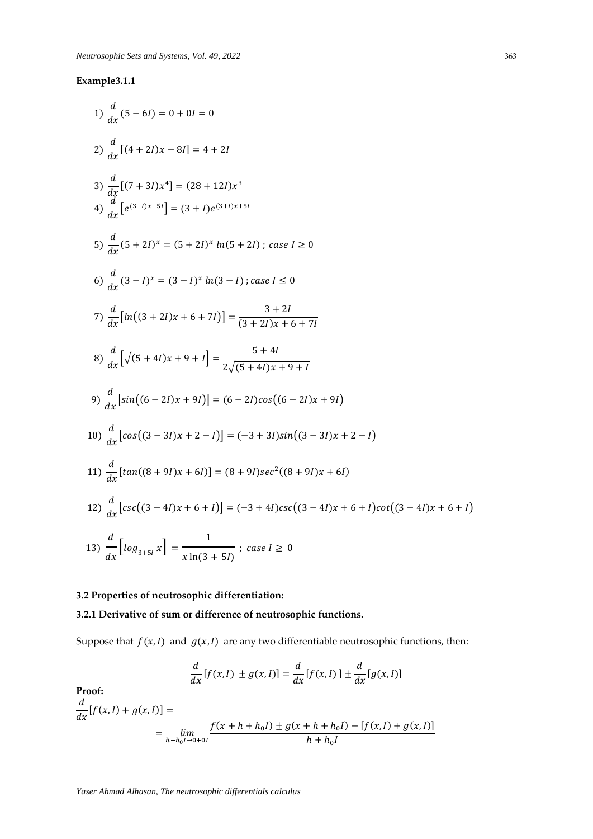### **Example3.1.1**

1) 
$$
\frac{d}{dx}(5-6i) = 0 + 0i = 0
$$
  
\n2)  $\frac{d}{dx}[(4+2i)x-8i] = 4 + 2i$   
\n3)  $\frac{d}{dx}[(7+3i)x^4] = (28+12i)x^3$   
\n4)  $\frac{d}{dx}[e^{(3+i)x+5i}] = (3+i)e^{(3+i)x+5i}$   
\n5)  $\frac{d}{dx}(5+2i)^x = (5+2i)^x ln(5+2i) ;$  case  $i \ge 0$   
\n6)  $\frac{d}{dx}(3-i)^x = (3-i)^x ln(3-i) ;$  case  $i \le 0$   
\n7)  $\frac{d}{dx}[ln((3+2i)x+6+7i)] = \frac{3+2i}{(3+2i)x+6+7i}$   
\n8)  $\frac{d}{dx}[\sqrt{(5+4i)x+9+i}] = \frac{5+4i}{2\sqrt{(5+4i)x+9+i}}$   
\n9)  $\frac{d}{dx}[sin((6-2i)x+9i)] = (6-2i)cos((6-2i)x+9i)$   
\n10)  $\frac{d}{dx}[cos((3-3i)x+2-i)] = (-3+3i)sin((3-3i)x+2-i)$   
\n11)  $\frac{d}{dx}[tan((8+9i)x+6i)] = (8+9i)sec^2((8+9i)x+6i)$   
\n12)  $\frac{d}{dx}[csc((3-4i)x+6+i)] = (-3+4i)csc((3-4i)x+6+i)cot((3-4i)x+6+i)$   
\n13)  $\frac{d}{dx}[log_{3+5i}x] = \frac{1}{x ln(3+5i)} ;$  case  $i \ge 0$ 

# **3.2 Properties of neutrosophic differentiation:**

### **3.2.1 Derivative of sum or difference of neutrosophic functions.**

Suppose that  $f(x, I)$  and  $g(x, I)$  are any two differentiable neutrosophic functions, then:

$$
\frac{d}{dx}[f(x, I) \pm g(x, I)] = \frac{d}{dx}[f(x, I)] \pm \frac{d}{dx}[g(x, I)]
$$

**Proof:** 

$$
\frac{d}{dx}[f(x,l) + g(x,l)] =
$$
\n
$$
= \lim_{h+h_0l \to 0+0l} \frac{f(x+h+h_0l) \pm g(x+h+h_0l) - [f(x,l) + g(x,l)]}{h+h_0l}
$$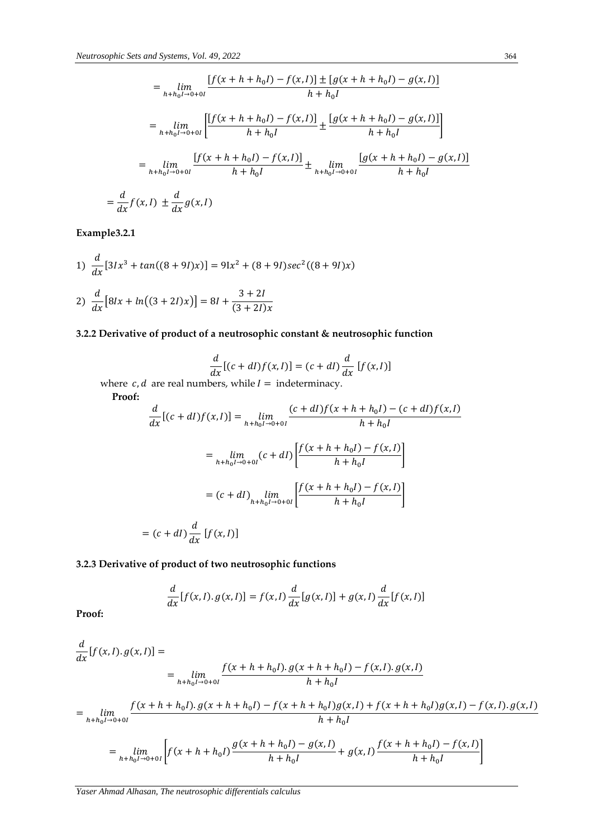$$
= \lim_{h+h_0I \to 0+0I} \frac{[f(x+h+h_0I) - f(x,I)] \pm [g(x+h+h_0I) - g(x,I)]}{h+h_0I}
$$
  

$$
= \lim_{h+h_0I \to 0+0I} \left[ \frac{[f(x+h+h_0I) - f(x,I)]}{h+h_0I} \pm \frac{[g(x+h+h_0I) - g(x,I)]}{h+h_0I} \right]
$$
  

$$
= \lim_{h+h_0I \to 0+0I} \frac{[f(x+h+h_0I) - f(x,I)]}{h+h_0I} \pm \lim_{h+h_0I \to 0+0I} \frac{[g(x+h+h_0I) - g(x,I)]}{h+h_0I}
$$
  

$$
= \frac{d}{dx}f(x,I) \pm \frac{d}{dx}g(x,I)
$$

**Example3.2.1**

1) 
$$
\frac{d}{dx} [3Ix^3 + \tan((8+9I)x)] = 9Ix^2 + (8+9I)\sec^2((8+9I)x)
$$
  
2) 
$$
\frac{d}{dx} [8Ix + ln((3+2I)x)] = 8I + \frac{3+2I}{(3+2I)x}
$$

# **3.2.2 Derivative of product of a neutrosophic constant & neutrosophic function**

$$
\frac{d}{dx}[(c+dl)f(x,l)] = (c+dl)\frac{d}{dx}[f(x,l)]
$$

where  $c, d$  are real numbers, while  $I =$  indeterminacy.

 **Proof:**

$$
\frac{d}{dx}[(c+dl)f(x,l)] = \lim_{h+h_0l \to 0+0l} \frac{(c+dl)f(x+h+h_0l) - (c+dl)f(x,l)}{h+h_0l}
$$

$$
= \lim_{h+h_0l \to 0+0l} (c+dl) \left[ \frac{f(x+h+h_0l) - f(x,l)}{h+h_0l} \right]
$$

$$
= (c+dl) \lim_{h+h_0l \to 0+0l} \left[ \frac{f(x+h+h_0l) - f(x,l)}{h+h_0l} \right]
$$

$$
= (c+dl) \frac{d}{dx} [f(x,l)]
$$

### **3.2.3 Derivative of product of two neutrosophic functions**

$$
\frac{d}{dx}[f(x,l), g(x,l)] = f(x,l)\frac{d}{dx}[g(x,l)] + g(x,l)\frac{d}{dx}[f(x,l)]
$$

**Proof:**

$$
\frac{d}{dx}[f(x,l), g(x,l)] =
$$
\n
$$
= \lim_{h+h_0l \to 0+0l} \frac{f(x+h+h_0l).g(x+h+h_0l) - f(x,l).g(x,l)}{h+h_0l}
$$
\n
$$
= \lim_{h+h_0l \to 0+0l} \frac{f(x+h+h_0l).g(x+h+h_0l) - f(x+h+h_0l)g(x,l) + f(x+h+h_0l)g(x,l) - f(x,l).g(x,l)}{h+h_0l}
$$
\n
$$
= \lim_{h+h_0l \to 0+0l} \left[ f(x+h+h_0l) \frac{g(x+h+h_0l) - g(x,l)}{h+h_0l} + g(x,l) \frac{f(x+h+h_0l) - f(x,l)}{h+h_0l} \right]
$$

*Yaser Ahmad Alhasan, The neutrosophic differentials calculus*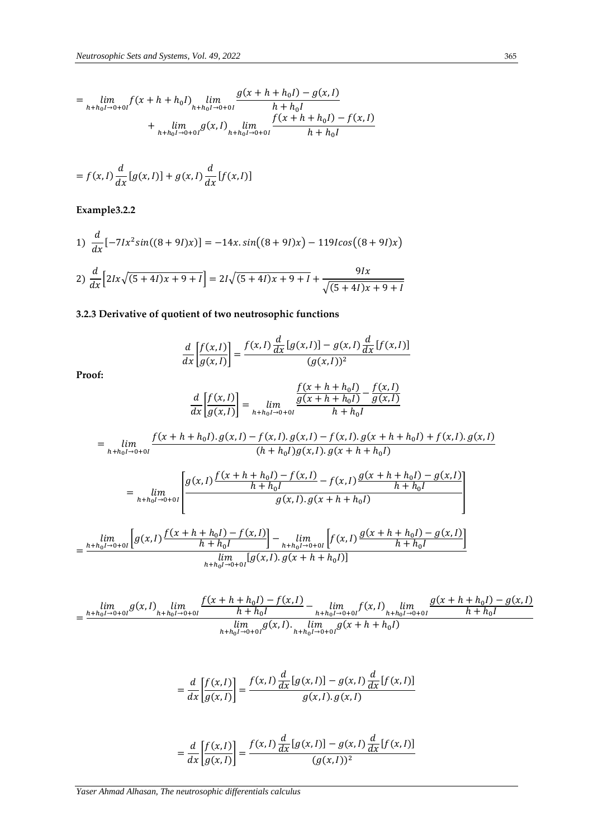$$
= \lim_{h+h_0I \to 0+0I} f(x+h+h_0I) \lim_{h+h_0I \to 0+0I} \frac{g(x+h+h_0I) - g(x,I)}{h+h_0I} + \lim_{h+h_0I \to 0+0I} g(x,I) \lim_{h+h_0I \to 0+0I} \frac{f(x+h+h_0I) - f(x,I)}{h+h_0I}
$$

$$
= f(x, I) \frac{d}{dx} [g(x, I)] + g(x, I) \frac{d}{dx} [f(x, I)]
$$

**Example3.2.2**

1) 
$$
\frac{d}{dx}[-7Ix^{2}sin((8+9I)x)] = -14x \cdot sin((8+9I)x) - 119Icos((8+9I)x)
$$
  
2) 
$$
\frac{d}{dx}[2Ix\sqrt{(5+4I)x+9+I}] = 2I\sqrt{(5+4I)x+9+I} + \frac{9Ix}{\sqrt{(5+4I)x+9+I}}
$$

# **3.2.3 Derivative of quotient of two neutrosophic functions**

$$
\frac{d}{dx} \left[ \frac{f(x, I)}{g(x, I)} \right] = \frac{f(x, I) \frac{d}{dx} [g(x, I)] - g(x, I) \frac{d}{dx} [f(x, I)]}{(g(x, I))^2}
$$
  
Proof:  

$$
\frac{d}{dx} \left[ \frac{f(x, I)}{g(x, I)} \right] = \lim_{h+h_0 I \to 0+0I} \frac{\frac{f(x + h + h_0 I)}{g(x + h + h_0 I)} - \frac{f(x, I)}{g(x, I)}}{h + h_0 I}
$$

$$
= \lim_{h+h_0 I \to 0+0I} \frac{f(x + h + h_0 I). g(x, I) - f(x, I). g(x, I) - f(x, I). g(x + h + h_0 I) + f(x, I). g(x, I)}{(h + h_0 I) g(x, I). g(x + h + h_0 I)}
$$

$$
= \lim_{h+h_0 I \to 0+0I} \left[ \frac{g(x, I) \frac{f(x + h + h_0 I) - f(x, I)}{h + h_0 I} - f(x, I) \frac{g(x + h + h_0 I) - g(x, I)}{h + h_0 I}}{g(x, I). g(x + h + h_0 I)} \right]
$$

$$
= \frac{\lim_{h+h_0 I \to 0+0I} \left[ g(x, I) \frac{f(x + h + h_0 I) - f(x, I)}{h + h_0 I} \right] - \lim_{h+h_0 I \to 0+0I} \left[ f(x, I) \frac{g(x + h + h_0 I) - g(x, I)}{h + h_0 I} \right]}{\lim_{h+h_0 I \to 0+0I} \left[ g(x, I). g(x + h + h_0 I) \right]}
$$

$$
=\frac{\lim_{h+h_0I\to 0+0I}g(x,I)\lim_{h+h_0I\to 0+0I}\frac{f(x+h+h_0I)-f(x,I)}{h+h_0I}-\lim_{h+h_0I\to 0+0I}f(x,I)\lim_{h+h_0I\to 0+0I}\frac{g(x+h+h_0I)-g(x,I)}{h+h_0I}}{\lim_{h+h_0I\to 0+0I}g(x,I)\lim_{h+h_0I\to 0+0I}g(x+h+h_0I)}
$$

$$
= \frac{d}{dx} \left[ \frac{f(x, I)}{g(x, I)} \right] = \frac{f(x, I) \frac{d}{dx} [g(x, I)] - g(x, I) \frac{d}{dx} [f(x, I)]}{g(x, I) \cdot g(x, I)}
$$

$$
= \frac{d}{dx} \left[ \frac{f(x, I)}{g(x, I)} \right] = \frac{f(x, I) \frac{d}{dx} [g(x, I)] - g(x, I) \frac{d}{dx} [f(x, I)]}{(g(x, I))^2}
$$

*Yaser Ahmad Alhasan, The neutrosophic differentials calculus*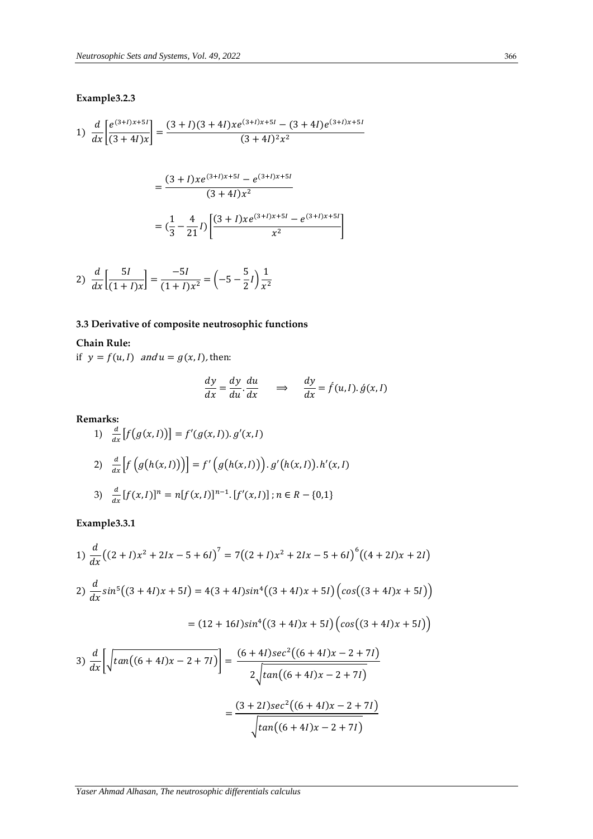### **Example3.2.3**

1) 
$$
\frac{d}{dx} \left[ \frac{e^{(3+l)x+5l}}{(3+4l)x} \right] = \frac{(3+l)(3+4l)x e^{(3+l)x+5l} - (3+4l)e^{(3+l)x+5l}}{(3+4l)^2 x^2}
$$

$$
= \frac{(3+l)x e^{(3+l)x+5l} - e^{(3+l)x+5l}}{(3+4l)x^2}
$$

$$
= (\frac{1}{3} - \frac{4}{21}l) \left[ \frac{(3+l)x e^{(3+l)x+5l} - e^{(3+l)x+5l}}{x^2} \right]
$$

2) 
$$
\frac{d}{dx} \left[ \frac{5I}{(1+I)x} \right] = \frac{-5I}{(1+I)x^2} = \left( -5 - \frac{5}{2}I \right) \frac{1}{x^2}
$$

# **3.3 Derivative of composite neutrosophic functions**

### **Chain Rule:**

if  $y = f(u, l)$  and  $u = g(x, l)$ , then:

$$
\frac{dy}{dx} = \frac{dy}{du} \cdot \frac{du}{dx} \quad \Rightarrow \quad \frac{dy}{dx} = \hat{f}(u, l) \cdot \hat{g}(x, l)
$$

 $x^2$ 

**Remarks:**

1) 
$$
\frac{d}{dx}[f(g(x, I))] = f'(g(x, I)). g'(x, I)
$$
  
\n2) 
$$
\frac{d}{dx}[f(g(h(x, I))] = f'\big(g(h(x, I))\big). g'(h(x, I)). h'(x, I)
$$
  
\n3) 
$$
\frac{d}{dx}[f(x, I)]^n = n[f(x, I)]^{n-1}. [f'(x, I)]; n \in R - \{0, 1\}
$$

**Example3.3.1**

1) 
$$
\frac{d}{dx}((2 + I)x^2 + 2Ix - 5 + 6I)^7 = 7((2 + I)x^2 + 2Ix - 5 + 6I)^6((4 + 2I)x + 2I)
$$
  
\n2) 
$$
\frac{d}{dx}sin^5((3 + 4I)x + 5I) = 4(3 + 4I)sin^4((3 + 4I)x + 5I)(cos((3 + 4I)x + 5I))
$$
  
\n
$$
= (12 + 16I)sin^4((3 + 4I)x + 5I)(cos((3 + 4I)x + 5I))
$$
  
\n3) 
$$
\frac{d}{dx} \left[ \sqrt{tan((6 + 4I)x - 2 + 7I)} \right] = \frac{(6 + 4I)sec^2((6 + 4I)x - 2 + 7I)}{2\sqrt{cos(4I)x - 2 + 7I}}
$$

$$
\int dx \left[\sqrt{\tan((0+4t)x - 2 + 7t)}\right] =
$$
  
= 
$$
\frac{(3 + 2t)\sec^2((6 + 4t)x - 2 + 7t)}{\sqrt{\tan((6 + 4t)x - 2 + 7t)}}
$$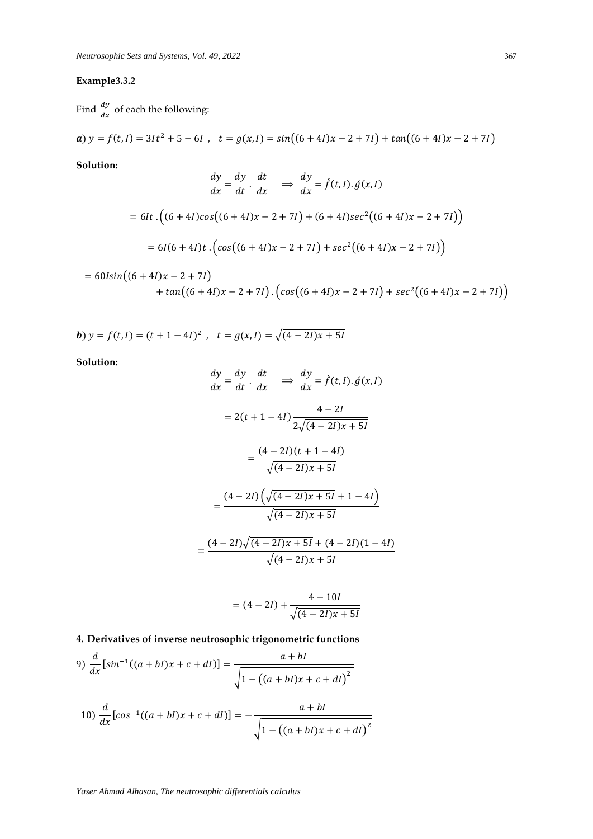### **Example3.3.2**

Find  $\frac{dy}{dx}$  of each the following:

$$
a) y = f(t, I) = 3It^2 + 5 - 6I, \quad t = g(x, I) = sin((6 + 4I)x - 2 + 7I) + tan((6 + 4I)x - 2 + 7I)
$$

**Solution:**

$$
\frac{dy}{dx} = \frac{dy}{dt} \cdot \frac{dt}{dx} \implies \frac{dy}{dx} = f(t, l) \cdot \dot{g}(x, l)
$$
  
= 6It \cdot ((6 + 4*l*)cos((6 + 4*l*)x - 2 + 7*l*) + (6 + 4*l*)sec<sup>2</sup>((6 + 4*l*)x - 2 + 7*l*))  
= 6*l*(6 + 4*l*)*t* \cdot (cos((6 + 4*l*)x - 2 + 7*l*) + sec<sup>2</sup>((6 + 4*l*)x - 2 + 7*l*))

$$
= 60\sin((6+4I)x - 2 + 7I) + \tan((6+4I)x - 2 + 7I) \cdot (\cos((6+4I)x - 2 + 7I) + \sec^2((6+4I)x - 2 + 7I))
$$

**b**) 
$$
y = f(t, l) = (t + 1 - 4l)^2
$$
,  $t = g(x, l) = \sqrt{(4 - 2l)x + 5l}$ 

**Solution:**

$$
\frac{dy}{dx} = \frac{dy}{dt} \cdot \frac{dt}{dx} \implies \frac{dy}{dx} = f(t, I) \cdot \hat{g}(x, I)
$$

$$
= 2(t + 1 - 4I) \frac{4 - 2I}{2\sqrt{(4 - 2I)x + 5I}}
$$

$$
= \frac{(4 - 2I)(t + 1 - 4I)}{\sqrt{(4 - 2I)x + 5I}}
$$

$$
= \frac{(4 - 2I)\left(\sqrt{(4 - 2I)x + 5I} + 1 - 4I\right)}{\sqrt{(4 - 2I)x + 5I}}
$$

$$
= \frac{(4 - 2I)\sqrt{(4 - 2I)x + 5I} + (4 - 2I)(1 - 4I)}{\sqrt{(4 - 2I)x + 5I}}
$$

$$
= (4 - 2I) + \frac{4 - 10I}{\sqrt{(4 - 2I)x + 5I}}
$$

**4. Derivatives of inverse neutrosophic trigonometric functions**

$$
9) \frac{d}{dx} [\sin^{-1}((a+bl)x + c + dl)] = \frac{a+bl}{\sqrt{1 - ((a+bl)x + c + dl)^2}}
$$
  

$$
10) \frac{d}{dx} [\cos^{-1}((a+bl)x + c + dl)] = -\frac{a+bl}{\sqrt{1 - ((a+bl)x + c + dl)^2}}
$$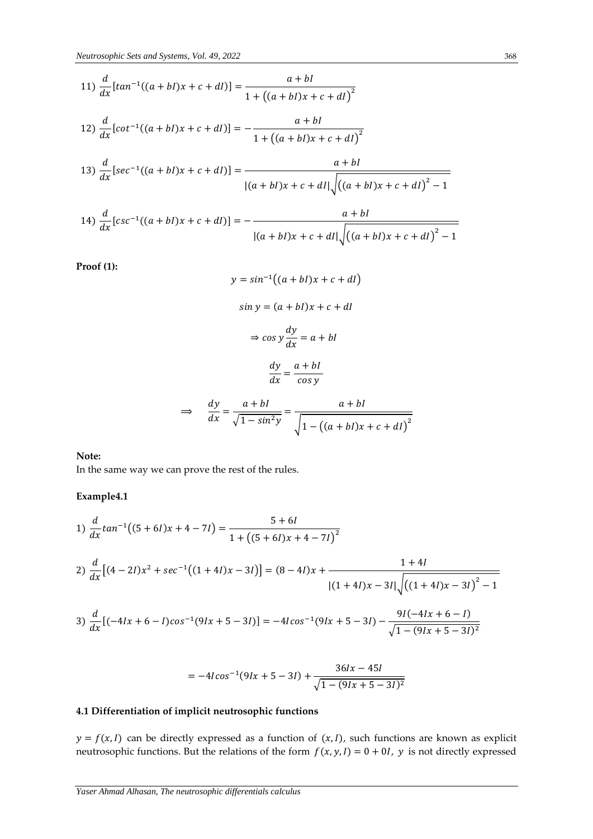11) 
$$
\frac{d}{dx}[tan^{-1}((a+bl)x + c + dl)] = \frac{a+bl}{1 + ((a+bl)x + c + dl)^{2}}
$$
  
\n12) 
$$
\frac{d}{dx}[cot^{-1}((a+bl)x + c + dl)] = -\frac{a+bl}{1 + ((a+bl)x + c + dl)^{2}}
$$
  
\n13) 
$$
\frac{d}{dx}[sec^{-1}((a+bl)x + c + dl)] = \frac{a+bl}{|(a+bl)x + c + dl|\sqrt{((a+bl)x + c + dl)^{2} - 1}}
$$
  
\n14) 
$$
\frac{d}{dx}[csc^{-1}((a+bl)x + c + dl)] = -\frac{a+bl}{|(a+bl)x + c + dl|\sqrt{((a+bl)x + c + dl)^{2} - 1}}
$$

**Proof (1):**

$$
y = \sin^{-1}((a + bl)x + c + dl)
$$
  
\n
$$
\sin y = (a + bl)x + c + dl
$$
  
\n
$$
\Rightarrow \cos y \frac{dy}{dx} = a + bl
$$
  
\n
$$
\frac{dy}{dx} = \frac{a + bl}{\cos y}
$$
  
\n
$$
\frac{dy}{dx} = \frac{a + bl}{\sqrt{1 - \sin^2 y}} = \frac{a + bl}{\sqrt{1 - ((a + bl)x + c + dl)^2}}
$$

#### **Note:**

In the same way we can prove the rest of the rules.

**Example4.1**

1) 
$$
\frac{d}{dx} \tan^{-1}((5+6I)x+4-7I) = \frac{5+6I}{1+\left((5+6I)x+4-7I\right)^2}
$$
  
2) 
$$
\frac{d}{dx} \left[ (4-2I)x^2 + \sec^{-1}((1+4I)x-3I) \right] = (8-4I)x + \frac{1+4I}{\left| (1+4I)x - 3I \right| \sqrt{\left( (1+4I)x - 3I \right)^2 - 1}}
$$
  
3) 
$$
\frac{d}{dx} \left[ (-4Ix+6-I)\cos^{-1}(9Ix+5-3I) \right] = -4I\cos^{-1}(9Ix+5-3I) - \frac{9I(-4Ix+6-I)}{\sqrt{1-(9Ix+5-3I)^2}}
$$

$$
= -4I\cos^{-1}(9Ix + 5 - 3I) + \frac{36Ix - 45I}{\sqrt{1 - (9Ix + 5 - 3I)^2}}
$$

### **4.1 Differentiation of implicit neutrosophic functions**

 $y = f(x, l)$  can be directly expressed as a function of  $(x, l)$ , such functions are known as explicit neutrosophic functions. But the relations of the form  $f(x, y, l) = 0 + 0l$ ,  $y$  is not directly expressed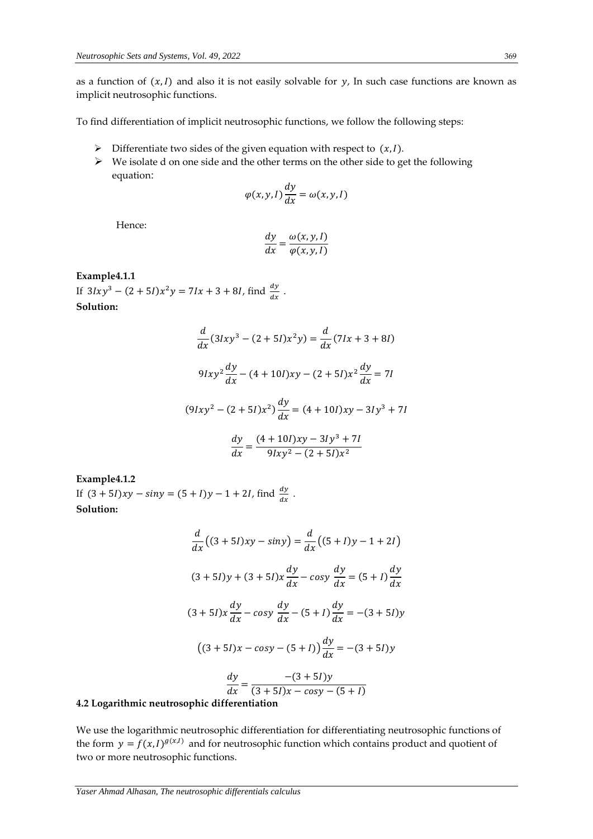as a function of  $(x, l)$  and also it is not easily solvable for y, In such case functions are known as implicit neutrosophic functions.

To find differentiation of implicit neutrosophic functions, we follow the following steps:

- $\triangleright$  Differentiate two sides of the given equation with respect to  $(x,1)$ .
- $\triangleright$  We isolate d on one side and the other terms on the other side to get the following equation:

$$
\varphi(x, y, I)\frac{dy}{dx} = \omega(x, y, I)
$$

Hence:

$$
\frac{dy}{dx} = \frac{\omega(x, y, l)}{\varphi(x, y, l)}
$$

### **Example4.1.1**

If  $3lxy^3 - (2+5l)x^2y = 7lx + 3 + 8l$ , find  $\frac{dy}{dx}$ . **Solution:**

$$
\frac{d}{dx}(31xy^3 - (2+51)x^2y) = \frac{d}{dx}(71x + 3 + 81)
$$
  

$$
91xy^2\frac{dy}{dx} - (4+101)xy - (2+51)x^2\frac{dy}{dx} = 71
$$
  

$$
(91xy^2 - (2+51)x^2)\frac{dy}{dx} = (4+101)xy - 31y^3 + 71
$$
  

$$
\frac{dy}{dx} = \frac{(4+101)xy - 31y^3 + 71}{91xy^2 - (2+51)x^2}
$$

**Example4.1.2**

If  $(3 + 5I)xy - \sin y = (5 + I)y - 1 + 2I$ , find  $\frac{dy}{dx}$ . **Solution:**

$$
\frac{d}{dx}((3+5I)xy - siny) = \frac{d}{dx}((5+I)y - 1 + 2I)
$$
  
(3+5I)y + (3+5I)x $\frac{dy}{dx}$  - cosy  $\frac{dy}{dx}$  = (5+I) $\frac{dy}{dx}$   
(3+5I)x $\frac{dy}{dx}$  - cosy  $\frac{dy}{dx}$  - (5+I) $\frac{dy}{dx}$  = -(3+5I)y  
((3+5I)x - cosy - (5+I)) $\frac{dy}{dx}$  = -(3+5I)y  
 $\frac{dy}{dx}$  =  $\frac{-(3+5I)y}{(3+5I)x - cosy - (5+I)}$ 

### **4.2 Logarithmic neutrosophic differentiation**

We use the logarithmic neutrosophic differentiation for differentiating neutrosophic functions of the form  $y = f(x, I)^{g(x, I)}$  and for neutrosophic function which contains product and quotient of two or more neutrosophic functions.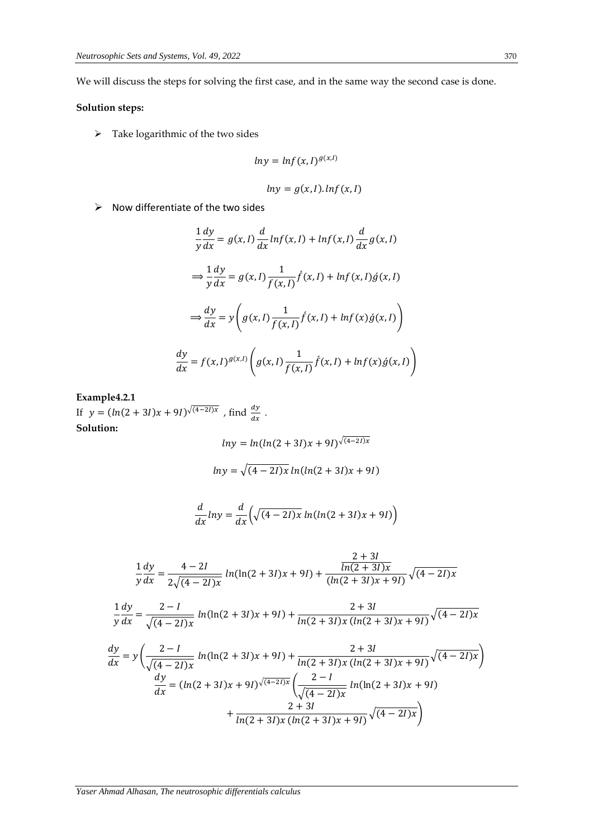We will discuss the steps for solving the first case, and in the same way the second case is done.

### **Solution steps:**

 $\triangleright$  Take logarithmic of the two sides

$$
ln y = ln f(x, I)^{g(x, I)}
$$

$$
ln y = g(x, I) \cdot ln f(x, I)
$$

 $\triangleright$  Now differentiate of the two sides

$$
\frac{1}{y}\frac{dy}{dx} = g(x, I)\frac{d}{dx}\ln f(x, I) + \ln f(x, I)\frac{d}{dx}g(x, I)
$$

$$
\Rightarrow \frac{1}{y}\frac{dy}{dx} = g(x, I)\frac{1}{f(x, I)}\hat{f}(x, I) + \ln f(x, I)\hat{g}(x, I)
$$

$$
\Rightarrow \frac{dy}{dx} = y\left(g(x, I)\frac{1}{f(x, I)}\hat{f}(x, I) + \ln f(x)\hat{g}(x, I)\right)
$$

$$
\frac{dy}{dx} = f(x, I)^{g(x, I)}\left(g(x, I)\frac{1}{f(x, I)}\hat{f}(x, I) + \ln f(x)\hat{g}(x, I)\right)
$$

### **Example4.2.1**

If  $y = (ln(2+3I)x + 9I)^{\sqrt{(4-2I)x}}$ , find  $\frac{dy}{dx}$ . **Solution:**

$$
ln y = ln(ln(2 + 3I)x + 9I)^{\sqrt{(4-2I)x}}
$$

$$
ln y = \sqrt{(4-2I)x} ln(ln(2+3I)x+9I)
$$

$$
\frac{d}{dx}lny = \frac{d}{dx}\left(\sqrt{(4-2I)x}ln(ln(2+3I)x+9I)\right)
$$

$$
\frac{1}{y}\frac{dy}{dx} = \frac{4-2I}{2\sqrt{(4-2I)x}}\ln(\ln(2+3I)x+9I) + \frac{\frac{2+3I}{\ln(2+3I)x}}{(\ln(2+3I)x+9I)}\sqrt{(4-2I)x}
$$

$$
\frac{1}{y}\frac{dy}{dx} = \frac{2-I}{\sqrt{(4-2I)x}}\ln(\ln(2+3I)x+9I) + \frac{2+3I}{\ln(2+3I)x(\ln(2+3I)x+9I)}\sqrt{(4-2I)x}
$$

$$
\frac{dy}{dx} = y\left(\frac{2-I}{\sqrt{(4-2I)x}}\ln(\ln(2+3I)x+9I) + \frac{2+3I}{\ln(2+3I)x(\ln(2+3I)x+9I)}\sqrt{(4-2I)x}\right)
$$

$$
\frac{dy}{dx} = (\ln(2+3I)x+9I)\sqrt{(4-2I)x}\left(\frac{2-I}{\sqrt{(4-2I)x}}\ln(\ln(2+3I)x+9I) + \frac{2+3I}{\ln(2+3I)x(\ln(2+3I)x+9I)}\sqrt{(4-2I)x}\right)
$$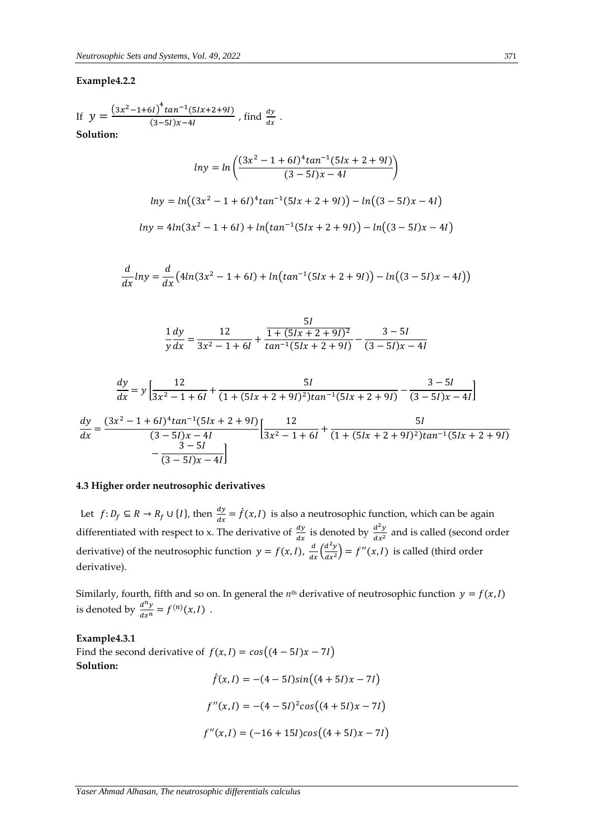### **Example4.2.2**

If 
$$
y = \frac{(3x^2 - 1 + 6l)^4 \tan^{-1}(5lx + 2 + 9l)}{(3 - 5l)x - 4l}
$$
, find  $\frac{dy}{dx}$ .  
Solution:

 $ln y = ln \left( \frac{(3x^2 - 1 + 6i)^4 tan^{-1}(5ix + 2 + 9i)}{(2 - 5i)x + 4i} \right)$  $\frac{2}{(3-5l)x-4l}$  $ln y = ln((3x^2 - 1 + 6i)^4 tan^{-1}(5ix + 2 + 9i)) - ln((3 - 5i)x - 4i)$  $ln y = 4ln(3x^2 - 1 + 6l) + ln(tan^{-1}(5lx + 2 + 9l)) - ln((3 – 5l)x – 4l)$ 

$$
\frac{d}{dx}ln y = \frac{d}{dx}(4ln(3x^2 - 1 + 6l) + ln(tan^{-1}(5lx + 2 + 9l)) - ln((3 - 5l)x - 4l))
$$

$$
\frac{1}{y}\frac{dy}{dx} = \frac{12}{3x^2 - 1 + 6I} + \frac{\frac{5I}{1 + (5Ix + 2 + 9I)^2}}{\tan^{-1}(5Ix + 2 + 9I)} - \frac{3 - 5I}{(3 - 5I)x - 4I}
$$

$$
\frac{dy}{dx} = y \left[ \frac{12}{3x^2 - 1 + 6l} + \frac{5l}{(1 + (5lx + 2 + 9l)^2)tan^{-1}(5lx + 2 + 9l)} - \frac{3 - 5l}{(3 - 5l)x - 4l} \right]
$$
  

$$
\frac{dy}{dx} = \frac{(3x^2 - 1 + 6l)^4 tan^{-1}(5lx + 2 + 9l)}{(3 - 5l)x - 4l} \left[ \frac{12}{3x^2 - 1 + 6l} + \frac{5l}{(1 + (5lx + 2 + 9l)^2)tan^{-1}(5lx + 2 + 9l)} - \frac{3 - 5l}{(3 - 5l)x - 4l} \right]
$$

### **4.3 Higher order neutrosophic derivatives**

Let  $f: D_f \subseteq R \to R_f \cup \{I\}$ , then  $\frac{dy}{dx} = \hat{f}(x,I)$  is also a neutrosophic function, which can be again differentiated with respect to x. The derivative of  $\frac{dy}{dx}$  is denoted by  $\frac{d^2y}{dx^2}$  $\frac{a}{dx^2}$  and is called (second order derivative) of the neutrosophic function  $y = f(x, I)$ ,  $\frac{d}{dx} \left( \frac{d^2y}{dx^2} \right)$  $\frac{d^2y}{dx^2}$  =  $f''(x,I)$  is called (third order derivative).

Similarly, fourth, fifth and so on. In general the  $n<sup>th</sup>$  derivative of neutrosophic function  $y = f(x, l)$ is denoted by  $\frac{d^n y}{dx^n}$  $\frac{d^{n}y}{dx^{n}} = f^{(n)}(x,I) .$ 

**Example4.3.1** Find the second derivative of  $f(x, I) = cos((4 - 5I)x - 7I)$ **Solution:**  $\hat{f}(x, I) = -(4 - 5I)\sin((4 + 5I)x - 7I)$ 

$$
f''(x, I) = -(4 - 5I)^2 \cos((4 + 5I)x - 7I)
$$

$$
f''(x,I) = (-16 + 15I)\cos((4 + 5I)x - 7I)
$$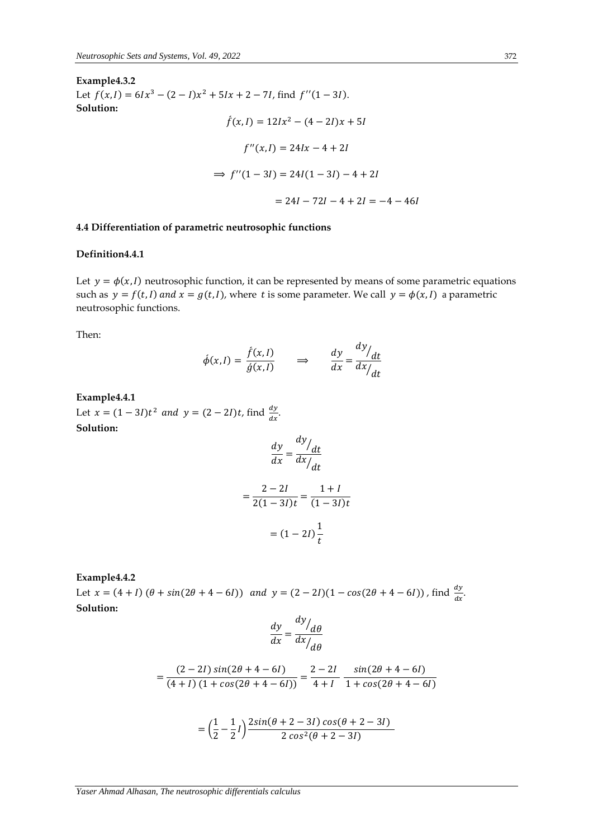**Example4.3.2** Let  $f(x, l) = 6lx^3 - (2 - l)x^2 + 5lx + 2 - 7l$ , find  $f''(1 - 3l)$ . **Solution:**  $\hat{f}(x, I) = 12Ix^2 - (4 - 2I)x + 5I$ 

$$
f''(x, I) = 24Ix - 4 + 2I
$$
  
\n
$$
\Rightarrow f''(1 - 3I) = 24I(1 - 3I) - 4 + 2I
$$
  
\n
$$
= 24I - 72I - 4 + 2I = -4 - 46I
$$

### **4.4 Differentiation of parametric neutrosophic functions**

#### **Definition4.4.1**

Let  $y = \phi(x, l)$  neutrosophic function, it can be represented by means of some parametric equations such as  $y = f(t, l)$  and  $x = g(t, l)$ , where t is some parameter. We call  $y = \phi(x, l)$  a parametric neutrosophic functions.

Then:

$$
\phi(x, I) = \frac{f(x, I)}{g(x, I)} \qquad \Rightarrow \qquad \frac{dy}{dx} = \frac{dy/dt}{dx/dt}
$$

### **Example4.4.1**

Let  $x = (1 - 3l)t^2$  and  $y = (2 - 2l)t$ , find  $\frac{dy}{dx}$ . **Solution:**

$$
\frac{dy}{dx} = \frac{dy/dt}{dx/dt}
$$

$$
= \frac{2 - 2I}{2(1 - 3I)t} = \frac{1 + I}{(1 - 3I)t}
$$

$$
= (1 - 2I)\frac{1}{t}
$$

**Example4.4.2**

Let  $x = (4 + I) (\theta + \sin(2\theta + 4 - 6I))$  and  $y = (2 - 2I)(1 - \cos(2\theta + 4 - 6I))$ , find  $\frac{dy}{dx}$ . **Solution:**

$$
\frac{dy}{dx} = \frac{dy/d\theta}{dx/d\theta}
$$

$$
=\frac{(2-2I)\sin(2\theta+4-6I)}{(4+I)\left(1+\cos(2\theta+4-6I)\right)}=\frac{2-2I}{4+I}\frac{\sin(2\theta+4-6I)}{1+\cos(2\theta+4-6I)}
$$

$$
= \left(\frac{1}{2} - \frac{1}{2}I\right) \frac{2\sin(\theta + 2 - 3I)\cos(\theta + 2 - 3I)}{2\cos^2(\theta + 2 - 3I)}
$$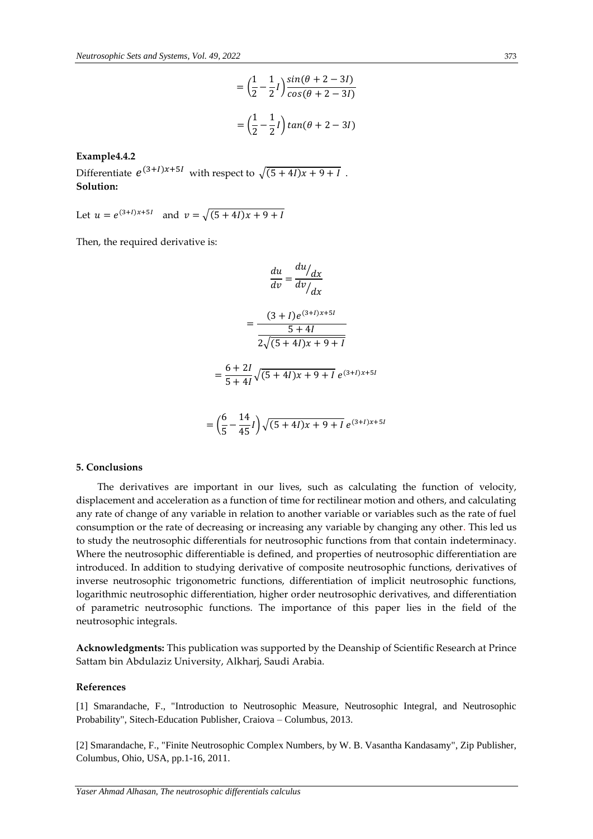$$
= \left(\frac{1}{2} - \frac{1}{2}l\right) \frac{\sin(\theta + 2 - 3l)}{\cos(\theta + 2 - 3l)}
$$

$$
= \left(\frac{1}{2} - \frac{1}{2}l\right) \tan(\theta + 2 - 3l)
$$

**Example4.4.2**

Differentiate  $e^{(3+I)x+5I}$  with respect to  $\sqrt{(5+4I)x+9+I}$ . **Solution:**

Let  $u = e^{(3+I)x+5I}$  and  $v = \sqrt{(5+4I)x+9+I}$ 

Then, the required derivative is:

$$
\frac{du}{dv} = \frac{du}{dv}/\frac{dx}{dx}
$$

$$
= \frac{(3 + I)e^{(3 + I)x + 5I}}{5 + 4I}
$$

$$
= \frac{6 + 2I}{5 + 4I}\sqrt{(5 + 4I)x + 9 + I}e^{(3 + I)x + 5I}
$$

$$
= \left(\frac{6}{5} - \frac{14}{45}I\right)\sqrt{(5 + 4I)x + 9 + I}e^{(3 + I)x + 5I}
$$

#### **5. Conclusions**

The derivatives are important in our lives, such as calculating the function of velocity, displacement and acceleration as a function of time for rectilinear motion and others, and calculating any rate of change of any variable in relation to another variable or variables such as the rate of fuel consumption or the rate of decreasing or increasing any variable by changing any other. This led us to study the neutrosophic differentials for neutrosophic functions from that contain indeterminacy. Where the neutrosophic differentiable is defined, and properties of neutrosophic differentiation are introduced. In addition to studying derivative of composite neutrosophic functions, derivatives of inverse neutrosophic trigonometric functions, differentiation of implicit neutrosophic functions, logarithmic neutrosophic differentiation, higher order neutrosophic derivatives, and differentiation of parametric neutrosophic functions. The importance of this paper lies in the field of the neutrosophic integrals.

**Acknowledgments:** This publication was supported by the Deanship of Scientific Research at Prince Sattam bin Abdulaziz University, Alkharj, Saudi Arabia.

#### **References**

[1] Smarandache, F., "Introduction to Neutrosophic Measure, Neutrosophic Integral, and Neutrosophic Probability", Sitech-Education Publisher, Craiova – Columbus, 2013.

[2] Smarandache, F., "Finite Neutrosophic Complex Numbers, by W. B. Vasantha Kandasamy", Zip Publisher, Columbus, Ohio, USA, pp.1-16, 2011.